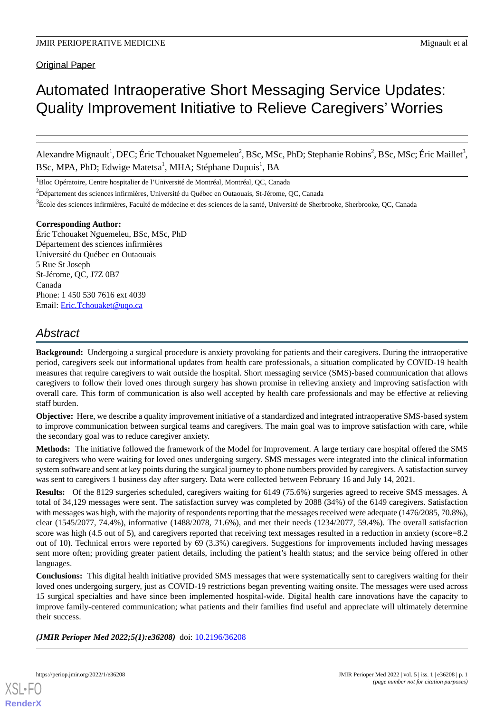Original Paper

# Automated Intraoperative Short Messaging Service Updates: Quality Improvement Initiative to Relieve Caregivers' Worries

Alexandre Mignault<sup>1</sup>, DEC; Éric Tchouaket Nguemeleu<sup>2</sup>, BSc, MSc, PhD; Stephanie Robins<sup>2</sup>, BSc, MSc; Éric Maillet<sup>3</sup>, BSc, MPA, PhD; Edwige Matetsa<sup>1</sup>, MHA; Stéphane Dupuis<sup>1</sup>, BA

<sup>1</sup>Bloc Opératoire, Centre hospitalier de l'Université de Montréal, Montréal, QC, Canada

 $2D$ épartement des sciences infirmières, Université du Québec en Outaouais, St-Jérome, QC, Canada

<sup>3</sup>École des sciences infirmières, Faculté de médecine et des sciences de la santé, Université de Sherbrooke, Sherbrooke, OC, Canada

#### **Corresponding Author:**

Éric Tchouaket Nguemeleu, BSc, MSc, PhD Département des sciences infirmières Université du Québec en Outaouais 5 Rue St Joseph St-Jérome, QC, J7Z 0B7 Canada Phone: 1 450 530 7616 ext 4039 Email: [Eric.Tchouaket@uqo.ca](mailto:Eric.Tchouaket@uqo.ca)

## *Abstract*

**Background:** Undergoing a surgical procedure is anxiety provoking for patients and their caregivers. During the intraoperative period, caregivers seek out informational updates from health care professionals, a situation complicated by COVID-19 health measures that require caregivers to wait outside the hospital. Short messaging service (SMS)-based communication that allows caregivers to follow their loved ones through surgery has shown promise in relieving anxiety and improving satisfaction with overall care. This form of communication is also well accepted by health care professionals and may be effective at relieving staff burden.

**Objective:** Here, we describe a quality improvement initiative of a standardized and integrated intraoperative SMS-based system to improve communication between surgical teams and caregivers. The main goal was to improve satisfaction with care, while the secondary goal was to reduce caregiver anxiety.

**Methods:** The initiative followed the framework of the Model for Improvement. A large tertiary care hospital offered the SMS to caregivers who were waiting for loved ones undergoing surgery. SMS messages were integrated into the clinical information system software and sent at key points during the surgical journey to phone numbers provided by caregivers. A satisfaction survey was sent to caregivers 1 business day after surgery. Data were collected between February 16 and July 14, 2021.

**Results:** Of the 8129 surgeries scheduled, caregivers waiting for 6149 (75.6%) surgeries agreed to receive SMS messages. A total of 34,129 messages were sent. The satisfaction survey was completed by 2088 (34%) of the 6149 caregivers. Satisfaction with messages was high, with the majority of respondents reporting that the messages received were adequate (1476/2085, 70.8%), clear (1545/2077, 74.4%), informative (1488/2078, 71.6%), and met their needs (1234/2077, 59.4%). The overall satisfaction score was high (4.5 out of 5), and caregivers reported that receiving text messages resulted in a reduction in anxiety (score=8.2) out of 10). Technical errors were reported by 69 (3.3%) caregivers. Suggestions for improvements included having messages sent more often; providing greater patient details, including the patient's health status; and the service being offered in other languages.

**Conclusions:** This digital health initiative provided SMS messages that were systematically sent to caregivers waiting for their loved ones undergoing surgery, just as COVID-19 restrictions began preventing waiting onsite. The messages were used across 15 surgical specialties and have since been implemented hospital-wide. Digital health care innovations have the capacity to improve family-centered communication; what patients and their families find useful and appreciate will ultimately determine their success.

(JMIR Perioper Med 2022;5(1):e36208) doi: [10.2196/36208](http://dx.doi.org/10.2196/36208)

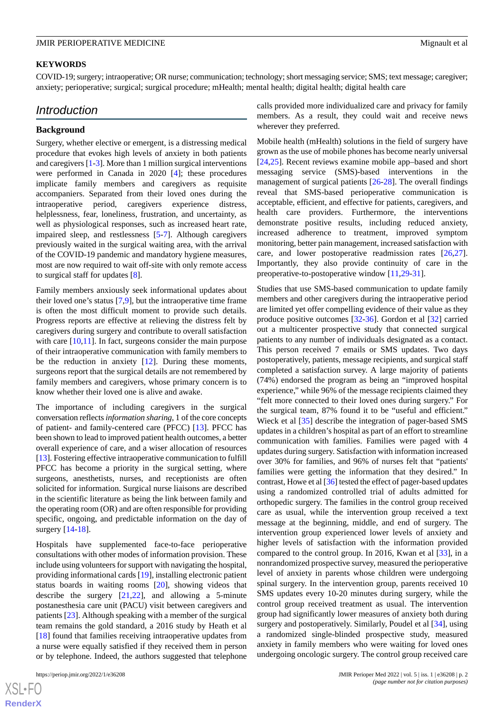#### **KEYWORDS**

COVID-19; surgery; intraoperative; OR nurse; communication; technology; short messaging service; SMS; text message; caregiver; anxiety; perioperative; surgical; surgical procedure; mHealth; mental health; digital health; digital health care

## *Introduction*

#### **Background**

Surgery, whether elective or emergent, is a distressing medical procedure that evokes high levels of anxiety in both patients and caregivers [[1-](#page-10-0)[3\]](#page-10-1). More than 1 million surgical interventions were performed in Canada in 2020 [\[4](#page-11-0)]; these procedures implicate family members and caregivers as requisite accompaniers. Separated from their loved ones during the intraoperative period, caregivers experience distress, helplessness, fear, loneliness, frustration, and uncertainty, as well as physiological responses, such as increased heart rate, impaired sleep, and restlessness [[5-](#page-11-1)[7\]](#page-11-2). Although caregivers previously waited in the surgical waiting area, with the arrival of the COVID-19 pandemic and mandatory hygiene measures, most are now required to wait off-site with only remote access to surgical staff for updates [\[8](#page-11-3)].

Family members anxiously seek informational updates about their loved one's status [[7](#page-11-2)[,9](#page-11-4)], but the intraoperative time frame is often the most difficult moment to provide such details. Progress reports are effective at relieving the distress felt by caregivers during surgery and contribute to overall satisfaction with care [[10,](#page-11-5)[11](#page-11-6)]. In fact, surgeons consider the main purpose of their intraoperative communication with family members to be the reduction in anxiety [[12\]](#page-11-7). During these moments, surgeons report that the surgical details are not remembered by family members and caregivers, whose primary concern is to know whether their loved one is alive and awake.

The importance of including caregivers in the surgical conversation reflects *information sharing*, 1 of the core concepts of patient- and family-centered care (PFCC) [\[13](#page-11-8)]. PFCC has been shown to lead to improved patient health outcomes, a better overall experience of care, and a wiser allocation of resources [[13\]](#page-11-8). Fostering effective intraoperative communication to fulfill PFCC has become a priority in the surgical setting, where surgeons, anesthetists, nurses, and receptionists are often solicited for information. Surgical nurse liaisons are described in the scientific literature as being the link between family and the operating room (OR) and are often responsible for providing specific, ongoing, and predictable information on the day of surgery [\[14](#page-11-9)-[18\]](#page-11-10).

Hospitals have supplemented face-to-face perioperative consultations with other modes of information provision. These include using volunteers for support with navigating the hospital, providing informational cards [\[19](#page-11-11)], installing electronic patient status boards in waiting rooms [[20\]](#page-11-12), showing videos that describe the surgery [[21,](#page-11-13)[22](#page-11-14)], and allowing a 5-minute postanesthesia care unit (PACU) visit between caregivers and patients [\[23](#page-11-15)]. Although speaking with a member of the surgical team remains the gold standard, a 2016 study by Heath et al [[18\]](#page-11-10) found that families receiving intraoperative updates from a nurse were equally satisfied if they received them in person or by telephone. Indeed, the authors suggested that telephone

calls provided more individualized care and privacy for family members. As a result, they could wait and receive news wherever they preferred.

Mobile health (mHealth) solutions in the field of surgery have grown as the use of mobile phones has become nearly universal [[24,](#page-11-16)[25\]](#page-11-17). Recent reviews examine mobile app–based and short messaging service (SMS)-based interventions in the management of surgical patients [[26](#page-11-18)[-28](#page-11-19)]. The overall findings reveal that SMS-based perioperative communication is acceptable, efficient, and effective for patients, caregivers, and health care providers. Furthermore, the interventions demonstrate positive results, including reduced anxiety, increased adherence to treatment, improved symptom monitoring, better pain management, increased satisfaction with care, and lower postoperative readmission rates [\[26](#page-11-18),[27\]](#page-11-20). Importantly, they also provide continuity of care in the preoperative-to-postoperative window [\[11](#page-11-6),[29](#page-11-21)[-31](#page-12-0)].

Studies that use SMS-based communication to update family members and other caregivers during the intraoperative period are limited yet offer compelling evidence of their value as they produce positive outcomes [\[32](#page-12-1)-[36\]](#page-12-2). Gordon et al [\[32](#page-12-1)] carried out a multicenter prospective study that connected surgical patients to any number of individuals designated as a contact. This person received 7 emails or SMS updates. Two days postoperatively, patients, message recipients, and surgical staff completed a satisfaction survey. A large majority of patients (74%) endorsed the program as being an "improved hospital experience," while 96% of the message recipients claimed they "felt more connected to their loved ones during surgery." For the surgical team, 87% found it to be "useful and efficient." Wieck et al [\[35](#page-12-3)] describe the integration of pager-based SMS updates in a children's hospital as part of an effort to streamline communication with families. Families were paged with 4 updates during surgery. Satisfaction with information increased over 30% for families, and 96% of nurses felt that "patients' families were getting the information that they desired." In contrast, Howe et al [[36](#page-12-2)] tested the effect of pager-based updates using a randomized controlled trial of adults admitted for orthopedic surgery. The families in the control group received care as usual, while the intervention group received a text message at the beginning, middle, and end of surgery. The intervention group experienced lower levels of anxiety and higher levels of satisfaction with the information provided compared to the control group. In 2016, Kwan et al [[33\]](#page-12-4), in a nonrandomized prospective survey, measured the perioperative level of anxiety in parents whose children were undergoing spinal surgery. In the intervention group, parents received 10 SMS updates every 10-20 minutes during surgery, while the control group received treatment as usual. The intervention group had significantly lower measures of anxiety both during surgery and postoperatively. Similarly, Poudel et al [[34\]](#page-12-5), using a randomized single-blinded prospective study, measured anxiety in family members who were waiting for loved ones undergoing oncologic surgery. The control group received care

 $XS$ -FO **[RenderX](http://www.renderx.com/)**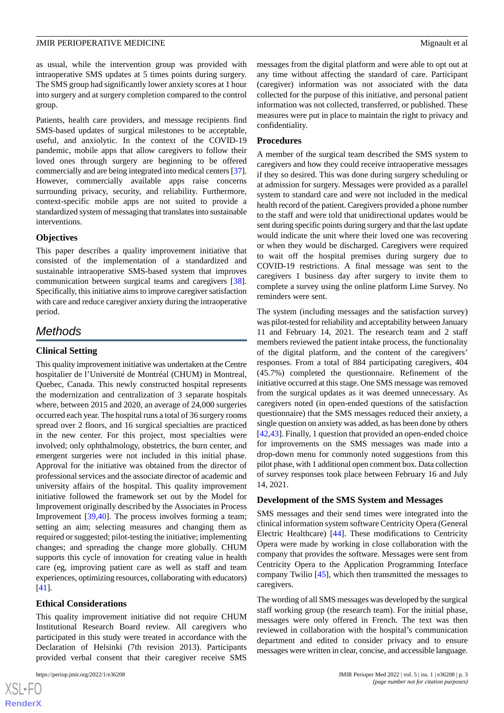as usual, while the intervention group was provided with intraoperative SMS updates at 5 times points during surgery. The SMS group had significantly lower anxiety scores at 1 hour into surgery and at surgery completion compared to the control group.

Patients, health care providers, and message recipients find SMS-based updates of surgical milestones to be acceptable, useful, and anxiolytic. In the context of the COVID-19 pandemic, mobile apps that allow caregivers to follow their loved ones through surgery are beginning to be offered commercially and are being integrated into medical centers [\[37\]](#page-12-6). However, commercially available apps raise concerns surrounding privacy, security, and reliability. Furthermore, context-specific mobile apps are not suited to provide a standardized system of messaging that translates into sustainable interventions.

#### **Objectives**

This paper describes a quality improvement initiative that consisted of the implementation of a standardized and sustainable intraoperative SMS-based system that improves communication between surgical teams and caregivers [[38\]](#page-12-7). Specifically, this initiative aims to improve caregiver satisfaction with care and reduce caregiver anxiety during the intraoperative period.

## *Methods*

#### **Clinical Setting**

This quality improvement initiative was undertaken at the Centre hospitalier de l'Université de Montréal (CHUM) in Montreal, Quebec, Canada. This newly constructed hospital represents the modernization and centralization of 3 separate hospitals where, between 2015 and 2020, an average of 24,000 surgeries occurred each year. The hospital runs a total of 36 surgery rooms spread over 2 floors, and 16 surgical specialties are practiced in the new center. For this project, most specialties were involved; only ophthalmology, obstetrics, the burn center, and emergent surgeries were not included in this initial phase. Approval for the initiative was obtained from the director of professional services and the associate director of academic and university affairs of the hospital. This quality improvement initiative followed the framework set out by the Model for Improvement originally described by the Associates in Process Improvement [\[39](#page-12-8),[40\]](#page-12-9). The process involves forming a team; setting an aim; selecting measures and changing them as required or suggested; pilot-testing the initiative; implementing changes; and spreading the change more globally. CHUM supports this cycle of innovation for creating value in health care (eg, improving patient care as well as staff and team experiences, optimizing resources, collaborating with educators) [[41\]](#page-12-10).

#### **Ethical Considerations**

This quality improvement initiative did not require CHUM Institutional Research Board review. All caregivers who participated in this study were treated in accordance with the Declaration of Helsinki (7th revision 2013). Participants provided verbal consent that their caregiver receive SMS

messages from the digital platform and were able to opt out at any time without affecting the standard of care. Participant (caregiver) information was not associated with the data collected for the purpose of this initiative, and personal patient information was not collected, transferred, or published. These measures were put in place to maintain the right to privacy and confidentiality.

#### **Procedures**

A member of the surgical team described the SMS system to caregivers and how they could receive intraoperative messages if they so desired. This was done during surgery scheduling or at admission for surgery. Messages were provided as a parallel system to standard care and were not included in the medical health record of the patient. Caregivers provided a phone number to the staff and were told that unidirectional updates would be sent during specific points during surgery and that the last update would indicate the unit where their loved one was recovering or when they would be discharged. Caregivers were required to wait off the hospital premises during surgery due to COVID-19 restrictions. A final message was sent to the caregivers 1 business day after surgery to invite them to complete a survey using the online platform Lime Survey. No reminders were sent.

The system (including messages and the satisfaction survey) was pilot-tested for reliability and acceptability between January 11 and February 14, 2021. The research team and 2 staff members reviewed the patient intake process, the functionality of the digital platform, and the content of the caregivers' responses. From a total of 884 participating caregivers, 404 (45.7%) completed the questionnaire. Refinement of the initiative occurred at this stage. One SMS message was removed from the surgical updates as it was deemed unnecessary. As caregivers noted (in open-ended questions of the satisfaction questionnaire) that the SMS messages reduced their anxiety, a single question on anxiety was added, as has been done by others [[42,](#page-12-11)[43\]](#page-12-12). Finally, 1 question that provided an open-ended choice for improvements on the SMS messages was made into a drop-down menu for commonly noted suggestions from this pilot phase, with 1 additional open comment box. Data collection of survey responses took place between February 16 and July 14, 2021.

#### **Development of the SMS System and Messages**

SMS messages and their send times were integrated into the clinical information system software Centricity Opera (General Electric Healthcare) [\[44](#page-12-13)]. These modifications to Centricity Opera were made by working in close collaboration with the company that provides the software. Messages were sent from Centricity Opera to the Application Programming Interface company Twilio [\[45](#page-12-14)], which then transmitted the messages to caregivers.

The wording of all SMS messages was developed by the surgical staff working group (the research team). For the initial phase, messages were only offered in French. The text was then reviewed in collaboration with the hospital's communication department and edited to consider privacy and to ensure messages were written in clear, concise, and accessible language.

```
XSL•FO
RenderX
```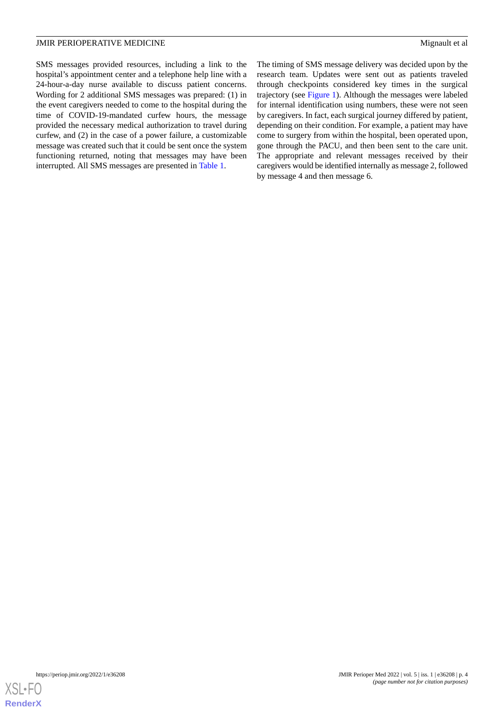SMS messages provided resources, including a link to the hospital's appointment center and a telephone help line with a 24-hour-a-day nurse available to discuss patient concerns. Wording for 2 additional SMS messages was prepared: (1) in the event caregivers needed to come to the hospital during the time of COVID-19-mandated curfew hours, the message provided the necessary medical authorization to travel during curfew, and (2) in the case of a power failure, a customizable message was created such that it could be sent once the system functioning returned, noting that messages may have been interrupted. All SMS messages are presented in [Table 1.](#page-4-0)

The timing of SMS message delivery was decided upon by the research team. Updates were sent out as patients traveled through checkpoints considered key times in the surgical trajectory (see [Figure 1](#page-5-0)). Although the messages were labeled for internal identification using numbers, these were not seen by caregivers. In fact, each surgical journey differed by patient, depending on their condition. For example, a patient may have come to surgery from within the hospital, been operated upon, gone through the PACU, and then been sent to the care unit. The appropriate and relevant messages received by their caregivers would be identified internally as message 2, followed by message 4 and then message 6.

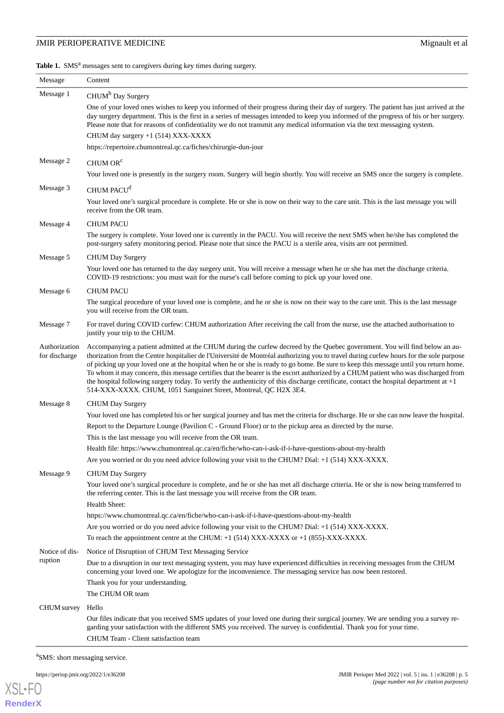<span id="page-4-0"></span>Table 1. SMS<sup>a</sup> messages sent to caregivers during key times during surgery.

| Message                        | Content                                                                                                                                                                                                                                                                                                                                                                                                                                                                                                                                                                                                                                                                                                                                                          |
|--------------------------------|------------------------------------------------------------------------------------------------------------------------------------------------------------------------------------------------------------------------------------------------------------------------------------------------------------------------------------------------------------------------------------------------------------------------------------------------------------------------------------------------------------------------------------------------------------------------------------------------------------------------------------------------------------------------------------------------------------------------------------------------------------------|
| Message 1                      | CHUM <sup>b</sup> Day Surgery                                                                                                                                                                                                                                                                                                                                                                                                                                                                                                                                                                                                                                                                                                                                    |
|                                | One of your loved ones wishes to keep you informed of their progress during their day of surgery. The patient has just arrived at the<br>day surgery department. This is the first in a series of messages intended to keep you informed of the progress of his or her surgery.<br>Please note that for reasons of confidentiality we do not transmit any medical information via the text messaging system.<br>CHUM day surgery $+1$ (514) XXX-XXXX<br>https://repertoire.chumontreal.qc.ca/fiches/chirurgie-dun-jour                                                                                                                                                                                                                                           |
| Message 2                      | CHUM OR <sup>c</sup>                                                                                                                                                                                                                                                                                                                                                                                                                                                                                                                                                                                                                                                                                                                                             |
|                                | Your loved one is presently in the surgery room. Surgery will begin shortly. You will receive an SMS once the surgery is complete.                                                                                                                                                                                                                                                                                                                                                                                                                                                                                                                                                                                                                               |
| Message 3                      | CHUM PACU <sup>d</sup>                                                                                                                                                                                                                                                                                                                                                                                                                                                                                                                                                                                                                                                                                                                                           |
|                                | Your loved one's surgical procedure is complete. He or she is now on their way to the care unit. This is the last message you will<br>receive from the OR team.                                                                                                                                                                                                                                                                                                                                                                                                                                                                                                                                                                                                  |
| Message 4                      | <b>CHUM PACU</b>                                                                                                                                                                                                                                                                                                                                                                                                                                                                                                                                                                                                                                                                                                                                                 |
|                                | The surgery is complete. Your loved one is currently in the PACU. You will receive the next SMS when he/she has completed the<br>post-surgery safety monitoring period. Please note that since the PACU is a sterile area, visits are not permitted.                                                                                                                                                                                                                                                                                                                                                                                                                                                                                                             |
| Message 5                      | <b>CHUM</b> Day Surgery                                                                                                                                                                                                                                                                                                                                                                                                                                                                                                                                                                                                                                                                                                                                          |
|                                | Your loved one has returned to the day surgery unit. You will receive a message when he or she has met the discharge criteria.<br>COVID-19 restrictions: you must wait for the nurse's call before coming to pick up your loved one.                                                                                                                                                                                                                                                                                                                                                                                                                                                                                                                             |
| Message 6                      | <b>CHUM PACU</b>                                                                                                                                                                                                                                                                                                                                                                                                                                                                                                                                                                                                                                                                                                                                                 |
|                                | The surgical procedure of your loved one is complete, and he or she is now on their way to the care unit. This is the last message<br>you will receive from the OR team.                                                                                                                                                                                                                                                                                                                                                                                                                                                                                                                                                                                         |
| Message 7                      | For travel during COVID curfew: CHUM authorization After receiving the call from the nurse, use the attached authorisation to<br>justify your trip to the CHUM.                                                                                                                                                                                                                                                                                                                                                                                                                                                                                                                                                                                                  |
| Authorization<br>for discharge | Accompanying a patient admitted at the CHUM during the curfew decreed by the Quebec government. You will find below an au-<br>thorization from the Centre hospitalier de l'Université de Montréal authorizing you to travel during curfew hours for the sole purpose<br>of picking up your loved one at the hospital when he or she is ready to go home. Be sure to keep this message until you return home.<br>To whom it may concern, this message certifies that the bearer is the escort authorized by a CHUM patient who was discharged from<br>the hospital following surgery today. To verify the authenticity of this discharge certificate, contact the hospital department at $+1$<br>514-XXX-XXXX. CHUM, 1051 Sanguinet Street, Montreal, QC H2X 3E4. |
| Message 8                      | <b>CHUM Day Surgery</b>                                                                                                                                                                                                                                                                                                                                                                                                                                                                                                                                                                                                                                                                                                                                          |
|                                | Your loved one has completed his or her surgical journey and has met the criteria for discharge. He or she can now leave the hospital.                                                                                                                                                                                                                                                                                                                                                                                                                                                                                                                                                                                                                           |
|                                | Report to the Departure Lounge (Pavilion C - Ground Floor) or to the pickup area as directed by the nurse.                                                                                                                                                                                                                                                                                                                                                                                                                                                                                                                                                                                                                                                       |
|                                | This is the last message you will receive from the OR team.                                                                                                                                                                                                                                                                                                                                                                                                                                                                                                                                                                                                                                                                                                      |
|                                | Health file: https://www.chumontreal.qc.ca/en/fiche/who-can-i-ask-if-i-have-questions-about-my-health                                                                                                                                                                                                                                                                                                                                                                                                                                                                                                                                                                                                                                                            |
|                                | Are you worried or do you need advice following your visit to the CHUM? Dial: +1 (514) XXX-XXXX.                                                                                                                                                                                                                                                                                                                                                                                                                                                                                                                                                                                                                                                                 |
| Message 9                      | <b>CHUM Day Surgery</b><br>Your loved one's surgical procedure is complete, and he or she has met all discharge criteria. He or she is now being transferred to<br>the referring center. This is the last message you will receive from the OR team.<br>Health Sheet:                                                                                                                                                                                                                                                                                                                                                                                                                                                                                            |
|                                | https://www.chumontreal.qc.ca/en/fiche/who-can-i-ask-if-i-have-questions-about-my-health                                                                                                                                                                                                                                                                                                                                                                                                                                                                                                                                                                                                                                                                         |
|                                | Are you worried or do you need advice following your visit to the CHUM? Dial: +1 (514) XXX-XXXX.                                                                                                                                                                                                                                                                                                                                                                                                                                                                                                                                                                                                                                                                 |
|                                | To reach the appointment centre at the CHUM: $+1$ (514) XXX-XXXX or $+1$ (855)-XXX-XXXX.                                                                                                                                                                                                                                                                                                                                                                                                                                                                                                                                                                                                                                                                         |
| Notice of dis-<br>ruption      | Notice of Disruption of CHUM Text Messaging Service                                                                                                                                                                                                                                                                                                                                                                                                                                                                                                                                                                                                                                                                                                              |
|                                | Due to a disruption in our text messaging system, you may have experienced difficulties in receiving messages from the CHUM<br>concerning your loved one. We apologize for the inconvenience. The messaging service has now been restored.                                                                                                                                                                                                                                                                                                                                                                                                                                                                                                                       |
|                                | Thank you for your understanding.                                                                                                                                                                                                                                                                                                                                                                                                                                                                                                                                                                                                                                                                                                                                |
|                                | The CHUM OR team                                                                                                                                                                                                                                                                                                                                                                                                                                                                                                                                                                                                                                                                                                                                                 |
| <b>CHUM</b> survey             | Hello                                                                                                                                                                                                                                                                                                                                                                                                                                                                                                                                                                                                                                                                                                                                                            |
|                                | Our files indicate that you received SMS updates of your loved one during their surgical journey. We are sending you a survey re-<br>garding your satisfaction with the different SMS you received. The survey is confidential. Thank you for your time.<br>CHUM Team - Client satisfaction team                                                                                                                                                                                                                                                                                                                                                                                                                                                                 |

<sup>a</sup>SMS: short messaging service.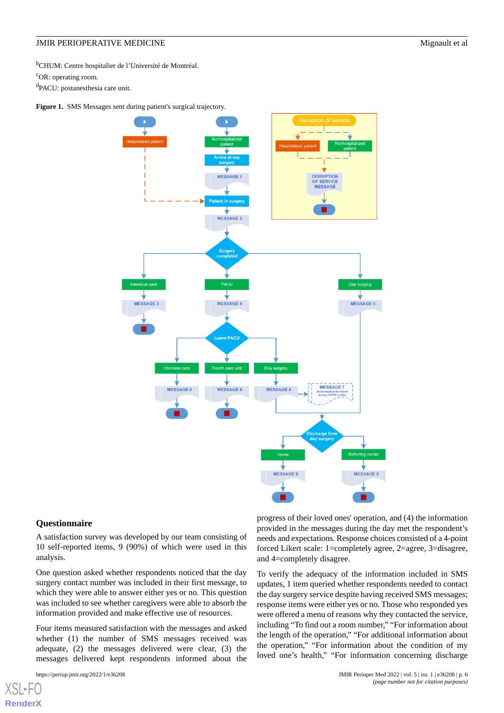<sup>b</sup>CHUM: Centre hospitalier de l'Université de Montréal.

<sup>c</sup>OR: operating room.

<sup>d</sup>PACU: postanesthesia care unit.

<span id="page-5-0"></span>Figure 1. SMS Messages sent during patient's surgical trajectory.



#### **Questionnaire**

A satisfaction survey was developed by our team consisting of 10 self-reported items, 9 (90%) of which were used in this analysis.

One question asked whether respondents noticed that the day surgery contact number was included in their first message, to which they were able to answer either yes or no. This question was included to see whether caregivers were able to absorb the information provided and make effective use of resources.

Four items measured satisfaction with the messages and asked whether (1) the number of SMS messages received was adequate, (2) the messages delivered were clear, (3) the messages delivered kept respondents informed about the

progress of their loved ones' operation, and (4) the information provided in the messages during the day met the respondent's needs and expectations. Response choices consisted of a 4-point forced Likert scale: 1=completely agree, 2=agree, 3=disagree, and 4=completely disagree.

To verify the adequacy of the information included in SMS updates, 1 item queried whether respondents needed to contact the day surgery service despite having received SMS messages; response items were either yes or no. Those who responded yes were offered a menu of reasons why they contacted the service, including "To find out a room number," "For information about the length of the operation," "For additional information about the operation," "For information about the condition of my loved one's health," "For information concerning discharge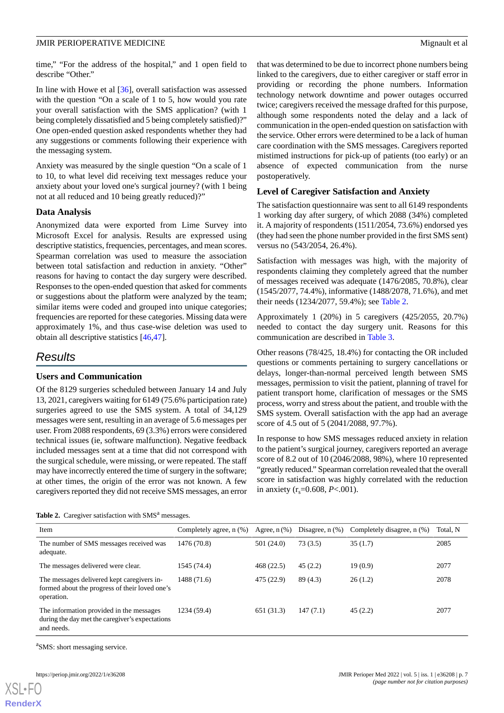time," "For the address of the hospital," and 1 open field to describe "Other."

In line with Howe et al [\[36](#page-12-2)], overall satisfaction was assessed with the question "On a scale of 1 to 5, how would you rate your overall satisfaction with the SMS application? (with 1 being completely dissatisfied and 5 being completely satisfied)?" One open-ended question asked respondents whether they had any suggestions or comments following their experience with the messaging system.

Anxiety was measured by the single question "On a scale of 1 to 10, to what level did receiving text messages reduce your anxiety about your loved one's surgical journey? (with 1 being not at all reduced and 10 being greatly reduced)?"

#### **Data Analysis**

Anonymized data were exported from Lime Survey into Microsoft Excel for analysis. Results are expressed using descriptive statistics, frequencies, percentages, and mean scores. Spearman correlation was used to measure the association between total satisfaction and reduction in anxiety. "Other" reasons for having to contact the day surgery were described. Responses to the open-ended question that asked for comments or suggestions about the platform were analyzed by the team; similar items were coded and grouped into unique categories; frequencies are reported for these categories. Missing data were approximately 1%, and thus case-wise deletion was used to obtain all descriptive statistics [[46](#page-12-15)[,47](#page-12-16)].

## *Results*

#### **Users and Communication**

Of the 8129 surgeries scheduled between January 14 and July 13, 2021, caregivers waiting for 6149 (75.6% participation rate) surgeries agreed to use the SMS system. A total of 34,129 messages were sent, resulting in an average of 5.6 messages per user. From 2088 respondents, 69 (3.3%) errors were considered technical issues (ie, software malfunction). Negative feedback included messages sent at a time that did not correspond with the surgical schedule, were missing, or were repeated. The staff may have incorrectly entered the time of surgery in the software; at other times, the origin of the error was not known. A few caregivers reported they did not receive SMS messages, an error

<span id="page-6-0"></span>

|  |  | Table 2. Caregiver satisfaction with SMS <sup>a</sup> messages. |  |  |  |
|--|--|-----------------------------------------------------------------|--|--|--|
|--|--|-----------------------------------------------------------------|--|--|--|

that was determined to be due to incorrect phone numbers being linked to the caregivers, due to either caregiver or staff error in providing or recording the phone numbers. Information technology network downtime and power outages occurred twice; caregivers received the message drafted for this purpose, although some respondents noted the delay and a lack of communication in the open-ended question on satisfaction with the service. Other errors were determined to be a lack of human care coordination with the SMS messages. Caregivers reported mistimed instructions for pick-up of patients (too early) or an absence of expected communication from the nurse postoperatively.

#### **Level of Caregiver Satisfaction and Anxiety**

The satisfaction questionnaire was sent to all 6149 respondents 1 working day after surgery, of which 2088 (34%) completed it. A majority of respondents (1511/2054, 73.6%) endorsed yes (they had seen the phone number provided in the first SMS sent) versus no (543/2054, 26.4%).

Satisfaction with messages was high, with the majority of respondents claiming they completely agreed that the number of messages received was adequate (1476/2085, 70.8%), clear (1545/2077, 74.4%), informative (1488/2078, 71.6%), and met their needs (1234/2077, 59.4%); see [Table 2](#page-6-0).

Approximately 1 (20%) in 5 caregivers (425/2055, 20.7%) needed to contact the day surgery unit. Reasons for this communication are described in [Table 3.](#page-7-0)

Other reasons (78/425, 18.4%) for contacting the OR included questions or comments pertaining to surgery cancellations or delays, longer-than-normal perceived length between SMS messages, permission to visit the patient, planning of travel for patient transport home, clarification of messages or the SMS process, worry and stress about the patient, and trouble with the SMS system. Overall satisfaction with the app had an average score of 4.5 out of 5 (2041/2088, 97.7%).

In response to how SMS messages reduced anxiety in relation to the patient's surgical journey, caregivers reported an average score of 8.2 out of 10 (2046/2088, 98%), where 10 represented "greatly reduced." Spearman correlation revealed that the overall score in satisfaction was highly correlated with the reduction in anxiety  $(r_s=0.608, P<.001)$ .

| Item                                                                                                       | Completely agree, n (%) | Agree, $n$ $(\%)$ | Disagree, $n$ $(\%)$ | Completely disagree, n (%) | Total, N |
|------------------------------------------------------------------------------------------------------------|-------------------------|-------------------|----------------------|----------------------------|----------|
| The number of SMS messages received was<br>adequate.                                                       | 1476 (70.8)             | 501 (24.0)        | 73(3.5)              | 35(1.7)                    | 2085     |
| The messages delivered were clear.                                                                         | 1545 (74.4)             | 468(22.5)         | 45(2.2)              | 19(0.9)                    | 2077     |
| The messages delivered kept caregivers in-<br>formed about the progress of their loved one's<br>operation. | 1488 (71.6)             | 475 (22.9)        | 89(4.3)              | 26(1.2)                    | 2078     |
| The information provided in the messages<br>during the day met the caregiver's expectations<br>and needs.  | 1234 (59.4)             | 651 (31.3)        | 147(7.1)             | 45(2.2)                    | 2077     |

<sup>a</sup>SMS: short messaging service.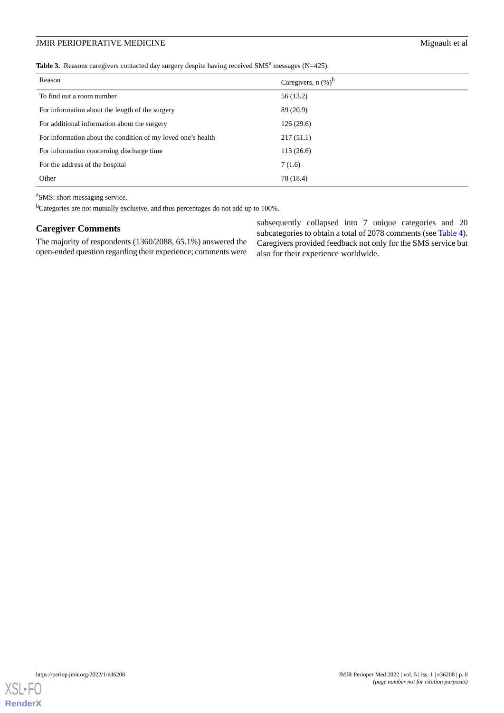## JMIR PERIOPERATIVE MEDICINE MEDICINE

<span id="page-7-0"></span>Table 3. Reasons caregivers contacted day surgery despite having received SMS<sup>a</sup> messages (N=425).

| Reason                                                       | Caregivers, $n$ (%) <sup>b</sup> |
|--------------------------------------------------------------|----------------------------------|
| To find out a room number                                    | 56 (13.2)                        |
| For information about the length of the surgery              | 89 (20.9)                        |
| For additional information about the surgery                 | 126(29.6)                        |
| For information about the condition of my loved one's health | 217(51.1)                        |
| For information concerning discharge time                    | 113(26.6)                        |
| For the address of the hospital                              | 7(1.6)                           |
| Other                                                        | 78 (18.4)                        |

<sup>a</sup>SMS: short messaging service.

<sup>b</sup>Categories are not mutually exclusive, and thus percentages do not add up to 100%.

#### **Caregiver Comments**

The majority of respondents (1360/2088, 65.1%) answered the open-ended question regarding their experience; comments were

subsequently collapsed into 7 unique categories and 20 subcategories to obtain a total of 2078 comments (see [Table 4\)](#page-8-0). Caregivers provided feedback not only for the SMS service but also for their experience worldwide.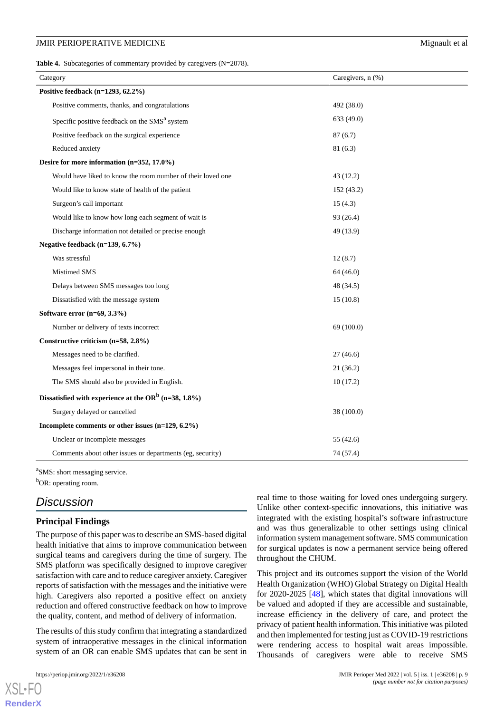<span id="page-8-0"></span>Table 4. Subcategories of commentary provided by caregivers (N=2078).

| Category                                                         | Caregivers, n (%) |  |  |
|------------------------------------------------------------------|-------------------|--|--|
| Positive feedback $(n=1293, 62.2\%)$                             |                   |  |  |
| Positive comments, thanks, and congratulations                   | 492 (38.0)        |  |  |
| Specific positive feedback on the SMS <sup>a</sup> system        | 633 (49.0)        |  |  |
| Positive feedback on the surgical experience                     | 87(6.7)           |  |  |
| Reduced anxiety                                                  | 81 (6.3)          |  |  |
| Desire for more information (n=352, 17.0%)                       |                   |  |  |
| Would have liked to know the room number of their loved one      | 43 (12.2)         |  |  |
| Would like to know state of health of the patient                | 152 (43.2)        |  |  |
| Surgeon's call important                                         | 15(4.3)           |  |  |
| Would like to know how long each segment of wait is              | 93 (26.4)         |  |  |
| Discharge information not detailed or precise enough             | 49 (13.9)         |  |  |
| Negative feedback (n=139, 6.7%)                                  |                   |  |  |
| Was stressful                                                    | 12(8.7)           |  |  |
| Mistimed SMS                                                     | 64 (46.0)         |  |  |
| Delays between SMS messages too long                             | 48 (34.5)         |  |  |
| Dissatisfied with the message system                             | 15(10.8)          |  |  |
| Software error (n=69, 3.3%)                                      |                   |  |  |
| Number or delivery of texts incorrect                            | 69 (100.0)        |  |  |
| Constructive criticism (n=58, 2.8%)                              |                   |  |  |
| Messages need to be clarified.                                   | 27(46.6)          |  |  |
| Messages feel impersonal in their tone.                          | 21 (36.2)         |  |  |
| The SMS should also be provided in English.                      | 10(17.2)          |  |  |
| Dissatisfied with experience at the OR <sup>b</sup> (n=38, 1.8%) |                   |  |  |
| Surgery delayed or cancelled                                     | 38 (100.0)        |  |  |
| Incomplete comments or other issues (n=129, 6.2%)                |                   |  |  |
| Unclear or incomplete messages                                   | 55 (42.6)         |  |  |
| Comments about other issues or departments (eg, security)        | 74 (57.4)         |  |  |

<sup>a</sup>SMS: short messaging service.

<sup>b</sup>OR: operating room.

## *Discussion*

## **Principal Findings**

The purpose of this paper was to describe an SMS-based digital health initiative that aims to improve communication between surgical teams and caregivers during the time of surgery. The SMS platform was specifically designed to improve caregiver satisfaction with care and to reduce caregiver anxiety. Caregiver reports of satisfaction with the messages and the initiative were high. Caregivers also reported a positive effect on anxiety reduction and offered constructive feedback on how to improve the quality, content, and method of delivery of information.

The results of this study confirm that integrating a standardized system of intraoperative messages in the clinical information system of an OR can enable SMS updates that can be sent in

[XSL](http://www.w3.org/Style/XSL)•FO **[RenderX](http://www.renderx.com/)**

real time to those waiting for loved ones undergoing surgery. Unlike other context-specific innovations, this initiative was integrated with the existing hospital's software infrastructure and was thus generalizable to other settings using clinical information system management software. SMS communication for surgical updates is now a permanent service being offered throughout the CHUM.

This project and its outcomes support the vision of the World Health Organization (WHO) Global Strategy on Digital Health for 2020-2025 [\[48](#page-12-17)], which states that digital innovations will be valued and adopted if they are accessible and sustainable, increase efficiency in the delivery of care, and protect the privacy of patient health information. This initiative was piloted and then implemented for testing just as COVID-19 restrictions were rendering access to hospital wait areas impossible. Thousands of caregivers were able to receive SMS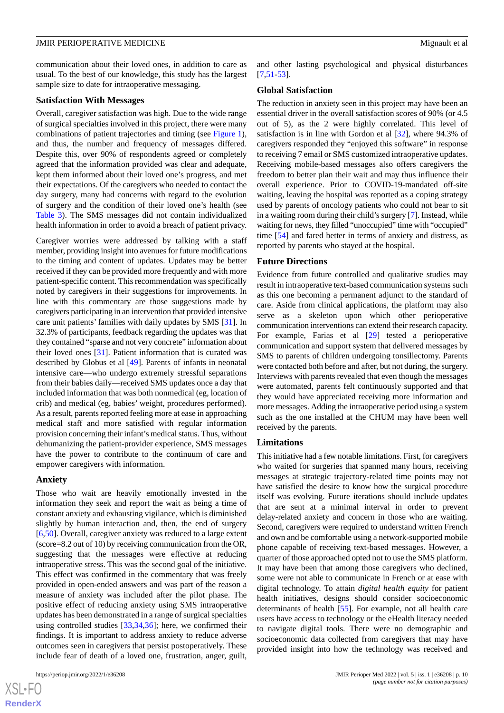communication about their loved ones, in addition to care as usual. To the best of our knowledge, this study has the largest sample size to date for intraoperative messaging.

#### **Satisfaction With Messages**

Overall, caregiver satisfaction was high. Due to the wide range of surgical specialties involved in this project, there were many combinations of patient trajectories and timing (see [Figure 1\)](#page-5-0), and thus, the number and frequency of messages differed. Despite this, over 90% of respondents agreed or completely agreed that the information provided was clear and adequate, kept them informed about their loved one's progress, and met their expectations. Of the caregivers who needed to contact the day surgery, many had concerns with regard to the evolution of surgery and the condition of their loved one's health (see [Table 3](#page-7-0)). The SMS messages did not contain individualized health information in order to avoid a breach of patient privacy.

Caregiver worries were addressed by talking with a staff member, providing insight into avenues for future modifications to the timing and content of updates. Updates may be better received if they can be provided more frequently and with more patient-specific content. This recommendation was specifically noted by caregivers in their suggestions for improvements. In line with this commentary are those suggestions made by caregivers participating in an intervention that provided intensive care unit patients' families with daily updates by SMS [[31\]](#page-12-0). In 32.3% of participants, feedback regarding the updates was that they contained "sparse and not very concrete" information about their loved ones [\[31](#page-12-0)]. Patient information that is curated was described by Globus et al [\[49](#page-12-18)]. Parents of infants in neonatal intensive care—who undergo extremely stressful separations from their babies daily—received SMS updates once a day that included information that was both nonmedical (eg, location of crib) and medical (eg, babies' weight, procedures performed). As a result, parents reported feeling more at ease in approaching medical staff and more satisfied with regular information provision concerning their infant's medical status. Thus, without dehumanizing the patient-provider experience, SMS messages have the power to contribute to the continuum of care and empower caregivers with information.

#### **Anxiety**

Those who wait are heavily emotionally invested in the information they seek and report the wait as being a time of constant anxiety and exhausting vigilance, which is diminished slightly by human interaction and, then, the end of surgery [[6](#page-11-22)[,50](#page-12-19)]. Overall, caregiver anxiety was reduced to a large extent (score=8.2 out of 10) by receiving communication from the OR, suggesting that the messages were effective at reducing intraoperative stress. This was the second goal of the initiative. This effect was confirmed in the commentary that was freely provided in open-ended answers and was part of the reason a measure of anxiety was included after the pilot phase. The positive effect of reducing anxiety using SMS intraoperative updates has been demonstrated in a range of surgical specialties using controlled studies [\[33](#page-12-4),[34,](#page-12-5)[36](#page-12-2)]; here, we confirmed their findings. It is important to address anxiety to reduce adverse outcomes seen in caregivers that persist postoperatively. These include fear of death of a loved one, frustration, anger, guilt,

[XSL](http://www.w3.org/Style/XSL)•FO **[RenderX](http://www.renderx.com/)**

and other lasting psychological and physical disturbances  $[7,51,53]$  $[7,51,53]$  $[7,51,53]$  $[7,51,53]$  $[7,51,53]$ .

#### **Global Satisfaction**

The reduction in anxiety seen in this project may have been an essential driver in the overall satisfaction scores of 90% (or 4.5 out of 5), as the 2 were highly correlated. This level of satisfaction is in line with Gordon et al [\[32](#page-12-1)], where 94.3% of caregivers responded they "enjoyed this software" in response to receiving 7 email or SMS customized intraoperative updates. Receiving mobile-based messages also offers caregivers the freedom to better plan their wait and may thus influence their overall experience. Prior to COVID-19-mandated off-site waiting, leaving the hospital was reported as a coping strategy used by parents of oncology patients who could not bear to sit in a waiting room during their child's surgery [\[7](#page-11-2)]. Instead, while waiting for news, they filled "unoccupied" time with "occupied" time [[54\]](#page-12-22) and fared better in terms of anxiety and distress, as reported by parents who stayed at the hospital.

#### **Future Directions**

Evidence from future controlled and qualitative studies may result in intraoperative text-based communication systems such as this one becoming a permanent adjunct to the standard of care. Aside from clinical applications, the platform may also serve as a skeleton upon which other perioperative communication interventions can extend their research capacity. For example, Farias et al [\[29](#page-11-21)] tested a perioperative communication and support system that delivered messages by SMS to parents of children undergoing tonsillectomy. Parents were contacted both before and after, but not during, the surgery. Interviews with parents revealed that even though the messages were automated, parents felt continuously supported and that they would have appreciated receiving more information and more messages. Adding the intraoperative period using a system such as the one installed at the CHUM may have been well received by the parents.

#### **Limitations**

This initiative had a few notable limitations. First, for caregivers who waited for surgeries that spanned many hours, receiving messages at strategic trajectory-related time points may not have satisfied the desire to know how the surgical procedure itself was evolving. Future iterations should include updates that are sent at a minimal interval in order to prevent delay-related anxiety and concern in those who are waiting. Second, caregivers were required to understand written French and own and be comfortable using a network-supported mobile phone capable of receiving text-based messages. However, a quarter of those approached opted not to use the SMS platform. It may have been that among those caregivers who declined, some were not able to communicate in French or at ease with digital technology. To attain *digital health equity* for patient health initiatives, designs should consider socioeconomic determinants of health [[55\]](#page-13-0). For example, not all health care users have access to technology or the eHealth literacy needed to navigate digital tools. There were no demographic and socioeconomic data collected from caregivers that may have provided insight into how the technology was received and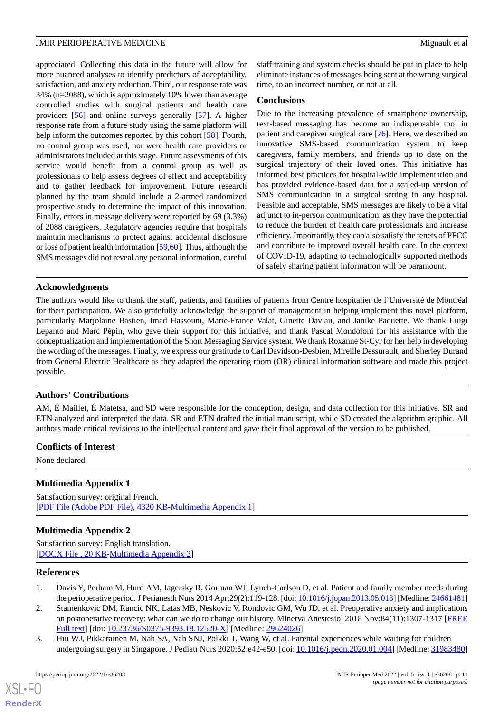appreciated. Collecting this data in the future will allow for more nuanced analyses to identify predictors of acceptability, satisfaction, and anxiety reduction. Third, our response rate was 34% (n=2088), which is approximately 10% lower than average controlled studies with surgical patients and health care providers [[56\]](#page-13-1) and online surveys generally [\[57](#page-13-2)]. A higher response rate from a future study using the same platform will help inform the outcomes reported by this cohort [\[58](#page-13-3)]. Fourth, no control group was used, nor were health care providers or administrators included at this stage. Future assessments of this service would benefit from a control group as well as professionals to help assess degrees of effect and acceptability and to gather feedback for improvement. Future research planned by the team should include a 2-armed randomized prospective study to determine the impact of this innovation. Finally, errors in message delivery were reported by 69 (3.3%) of 2088 caregivers. Regulatory agencies require that hospitals maintain mechanisms to protect against accidental disclosure or loss of patient health information [\[59](#page-13-4),[60](#page-13-5)]. Thus, although the SMS messages did not reveal any personal information, careful

staff training and system checks should be put in place to help eliminate instances of messages being sent at the wrong surgical time, to an incorrect number, or not at all.

#### **Conclusions**

Due to the increasing prevalence of smartphone ownership, text-based messaging has become an indispensable tool in patient and caregiver surgical care [[26\]](#page-11-18). Here, we described an innovative SMS-based communication system to keep caregivers, family members, and friends up to date on the surgical trajectory of their loved ones. This initiative has informed best practices for hospital-wide implementation and has provided evidence-based data for a scaled-up version of SMS communication in a surgical setting in any hospital. Feasible and acceptable, SMS messages are likely to be a vital adjunct to in-person communication, as they have the potential to reduce the burden of health care professionals and increase efficiency. Importantly, they can also satisfy the tenets of PFCC and contribute to improved overall health care. In the context of COVID-19, adapting to technologically supported methods of safely sharing patient information will be paramount.

#### **Acknowledgments**

The authors would like to thank the staff, patients, and families of patients from Centre hospitalier de l'Université de Montréal for their participation. We also gratefully acknowledge the support of management in helping implement this novel platform, particularly Marjolaine Bastien, Imad Hassouni, Marie-France Valat, Ginette Daviau, and Janike Paquette. We thank Luigi Lepanto and Marc Pépin, who gave their support for this initiative, and thank Pascal Mondoloni for his assistance with the conceptualization and implementation of the Short Messaging Service system. We thank Roxanne St-Cyr for her help in developing the wording of the messages. Finally, we express our gratitude to Carl Davidson-Desbien, Mireille Dessurault, and Sherley Durand from General Electric Healthcare as they adapted the operating room (OR) clinical information software and made this project possible.

#### **Authors' Contributions**

AM, É Maillet, É Matetsa, and SD were responsible for the conception, design, and data collection for this initiative. SR and ETN analyzed and interpreted the data. SR and ETN drafted the initial manuscript, while SD created the algorithm graphic. All authors made critical revisions to the intellectual content and gave their final approval of the version to be published.

#### **Conflicts of Interest**

None declared.

#### **Multimedia Appendix 1**

Satisfaction survey: original French. [[PDF File \(Adobe PDF File\), 4320 KB](https://jmir.org/api/download?alt_name=periop_v5i1e36208_app1.pdf&filename=d74c77dd4027b1e3c199aad51bd6c8db.pdf)-[Multimedia Appendix 1\]](https://jmir.org/api/download?alt_name=periop_v5i1e36208_app1.pdf&filename=d74c77dd4027b1e3c199aad51bd6c8db.pdf)

#### <span id="page-10-0"></span>**Multimedia Appendix 2**

Satisfaction survey: English translation. [[DOCX File , 20 KB](https://jmir.org/api/download?alt_name=periop_v5i1e36208_app2.docx&filename=5ef08b53b6722dae40414e1372fbe357.docx)-[Multimedia Appendix 2\]](https://jmir.org/api/download?alt_name=periop_v5i1e36208_app2.docx&filename=5ef08b53b6722dae40414e1372fbe357.docx)

#### <span id="page-10-1"></span>**References**

- 1. Davis Y, Perham M, Hurd AM, Jagersky R, Gorman WJ, Lynch-Carlson D, et al. Patient and family member needs during the perioperative period. J Perianesth Nurs 2014 Apr;29(2):119-128. [doi: [10.1016/j.jopan.2013.05.013\]](http://dx.doi.org/10.1016/j.jopan.2013.05.013) [Medline: [24661481](http://www.ncbi.nlm.nih.gov/entrez/query.fcgi?cmd=Retrieve&db=PubMed&list_uids=24661481&dopt=Abstract)]
- 2. Stamenkovic DM, Rancic NK, Latas MB, Neskovic V, Rondovic GM, Wu JD, et al. Preoperative anxiety and implications on postoperative recovery: what can we do to change our history. Minerva Anestesiol 2018 Nov;84(11):1307-1317 [\[FREE](https://www.minervamedica.it/index2.t?show=R02Y2018N11A1307) [Full text\]](https://www.minervamedica.it/index2.t?show=R02Y2018N11A1307) [doi: [10.23736/S0375-9393.18.12520-X\]](http://dx.doi.org/10.23736/S0375-9393.18.12520-X) [Medline: [29624026\]](http://www.ncbi.nlm.nih.gov/entrez/query.fcgi?cmd=Retrieve&db=PubMed&list_uids=29624026&dopt=Abstract)
- 3. Hui WJ, Pikkarainen M, Nah SA, Nah SNJ, Pölkki T, Wang W, et al. Parental experiences while waiting for children undergoing surgery in Singapore. J Pediatr Nurs 2020;52:e42-e50. [doi: [10.1016/j.pedn.2020.01.004\]](http://dx.doi.org/10.1016/j.pedn.2020.01.004) [Medline: [31983480](http://www.ncbi.nlm.nih.gov/entrez/query.fcgi?cmd=Retrieve&db=PubMed&list_uids=31983480&dopt=Abstract)]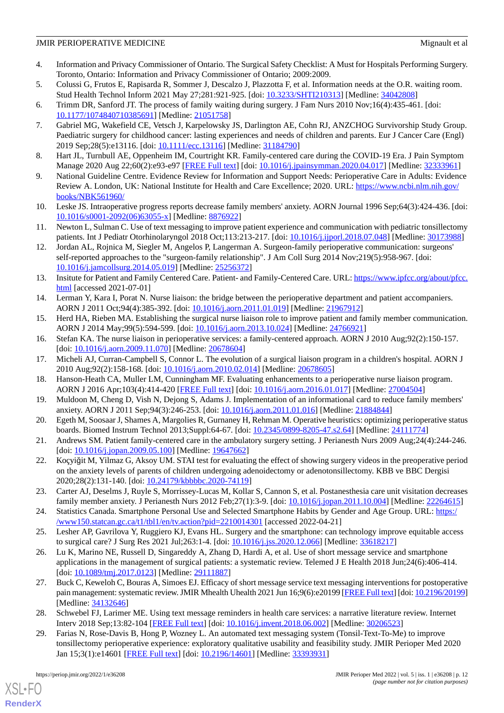- <span id="page-11-0"></span>4. Information and Privacy Commissioner of Ontario. The Surgical Safety Checklist: A Must for Hospitals Performing Surgery. Toronto, Ontario: Information and Privacy Commissioner of Ontario; 2009:2009.
- <span id="page-11-1"></span>5. Colussi G, Frutos E, Rapisarda R, Sommer J, Descalzo J, Plazzotta F, et al. Information needs at the O.R. waiting room. Stud Health Technol Inform 2021 May 27;281:921-925. [doi: [10.3233/SHTI210313](http://dx.doi.org/10.3233/SHTI210313)] [Medline: [34042808](http://www.ncbi.nlm.nih.gov/entrez/query.fcgi?cmd=Retrieve&db=PubMed&list_uids=34042808&dopt=Abstract)]
- <span id="page-11-22"></span><span id="page-11-2"></span>6. Trimm DR, Sanford JT. The process of family waiting during surgery. J Fam Nurs 2010 Nov;16(4):435-461. [doi: [10.1177/1074840710385691\]](http://dx.doi.org/10.1177/1074840710385691) [Medline: [21051758\]](http://www.ncbi.nlm.nih.gov/entrez/query.fcgi?cmd=Retrieve&db=PubMed&list_uids=21051758&dopt=Abstract)
- 7. Gabriel MG, Wakefield CE, Vetsch J, Karpelowsky JS, Darlington AE, Cohn RJ, ANZCHOG Survivorship Study Group. Paediatric surgery for childhood cancer: lasting experiences and needs of children and parents. Eur J Cancer Care (Engl) 2019 Sep;28(5):e13116. [doi: [10.1111/ecc.13116](http://dx.doi.org/10.1111/ecc.13116)] [Medline: [31184790\]](http://www.ncbi.nlm.nih.gov/entrez/query.fcgi?cmd=Retrieve&db=PubMed&list_uids=31184790&dopt=Abstract)
- <span id="page-11-4"></span><span id="page-11-3"></span>8. Hart JL, Turnbull AE, Oppenheim IM, Courtright KR. Family-centered care during the COVID-19 Era. J Pain Symptom Manage 2020 Aug 22;60(2):e93-e97 [[FREE Full text](http://europepmc.org/abstract/MED/32333961)] [doi: [10.1016/j.jpainsymman.2020.04.017](http://dx.doi.org/10.1016/j.jpainsymman.2020.04.017)] [Medline: [32333961](http://www.ncbi.nlm.nih.gov/entrez/query.fcgi?cmd=Retrieve&db=PubMed&list_uids=32333961&dopt=Abstract)]
- <span id="page-11-5"></span>9. National Guideline Centre. Evidence Review for Information and Support Needs: Perioperative Care in Adults: Evidence Review A. London, UK: National Institute for Health and Care Excellence; 2020. URL: [https://www.ncbi.nlm.nih.gov/](https://www.ncbi.nlm.nih.gov/books/NBK561960/) [books/NBK561960/](https://www.ncbi.nlm.nih.gov/books/NBK561960/)
- <span id="page-11-6"></span>10. Leske JS. Intraoperative progress reports decrease family members' anxiety. AORN Journal 1996 Sep;64(3):424-436. [doi: [10.1016/s0001-2092\(06\)63055-x](http://dx.doi.org/10.1016/s0001-2092(06)63055-x)] [Medline: [8876922\]](http://www.ncbi.nlm.nih.gov/entrez/query.fcgi?cmd=Retrieve&db=PubMed&list_uids=8876922&dopt=Abstract)
- <span id="page-11-7"></span>11. Newton L, Sulman C. Use of text messaging to improve patient experience and communication with pediatric tonsillectomy patients. Int J Pediatr Otorhinolaryngol 2018 Oct;113:213-217. [doi: [10.1016/j.ijporl.2018.07.048](http://dx.doi.org/10.1016/j.ijporl.2018.07.048)] [Medline: [30173988](http://www.ncbi.nlm.nih.gov/entrez/query.fcgi?cmd=Retrieve&db=PubMed&list_uids=30173988&dopt=Abstract)]
- <span id="page-11-8"></span>12. Jordan AL, Rojnica M, Siegler M, Angelos P, Langerman A. Surgeon-family perioperative communication: surgeons' self-reported approaches to the "surgeon-family relationship". J Am Coll Surg 2014 Nov;219(5):958-967. [doi: [10.1016/j.jamcollsurg.2014.05.019\]](http://dx.doi.org/10.1016/j.jamcollsurg.2014.05.019) [Medline: [25256372](http://www.ncbi.nlm.nih.gov/entrez/query.fcgi?cmd=Retrieve&db=PubMed&list_uids=25256372&dopt=Abstract)]
- <span id="page-11-9"></span>13. Insitute for Patient and Family Centered Care. Patient- and Family-Centered Care. URL: [https://www.ipfcc.org/about/pfcc.](https://www.ipfcc.org/about/pfcc.html) [html](https://www.ipfcc.org/about/pfcc.html) [accessed 2021-07-01]
- 14. Lerman Y, Kara I, Porat N. Nurse liaison: the bridge between the perioperative department and patient accompaniers. AORN J 2011 Oct;94(4):385-392. [doi: [10.1016/j.aorn.2011.01.019\]](http://dx.doi.org/10.1016/j.aorn.2011.01.019) [Medline: [21967912\]](http://www.ncbi.nlm.nih.gov/entrez/query.fcgi?cmd=Retrieve&db=PubMed&list_uids=21967912&dopt=Abstract)
- 15. Herd HA, Rieben MA. Establishing the surgical nurse liaison role to improve patient and family member communication. AORN J 2014 May;99(5):594-599. [doi: [10.1016/j.aorn.2013.10.024\]](http://dx.doi.org/10.1016/j.aorn.2013.10.024) [Medline: [24766921\]](http://www.ncbi.nlm.nih.gov/entrez/query.fcgi?cmd=Retrieve&db=PubMed&list_uids=24766921&dopt=Abstract)
- <span id="page-11-10"></span>16. Stefan KA. The nurse liaison in perioperative services: a family-centered approach. AORN J 2010 Aug;92(2):150-157. [doi: [10.1016/j.aorn.2009.11.070\]](http://dx.doi.org/10.1016/j.aorn.2009.11.070) [Medline: [20678604](http://www.ncbi.nlm.nih.gov/entrez/query.fcgi?cmd=Retrieve&db=PubMed&list_uids=20678604&dopt=Abstract)]
- <span id="page-11-11"></span>17. Micheli AJ, Curran-Campbell S, Connor L. The evolution of a surgical liaison program in a children's hospital. AORN J 2010 Aug;92(2):158-168. [doi: [10.1016/j.aorn.2010.02.014](http://dx.doi.org/10.1016/j.aorn.2010.02.014)] [Medline: [20678605\]](http://www.ncbi.nlm.nih.gov/entrez/query.fcgi?cmd=Retrieve&db=PubMed&list_uids=20678605&dopt=Abstract)
- <span id="page-11-12"></span>18. Hanson-Heath CA, Muller LM, Cunningham MF. Evaluating enhancements to a perioperative nurse liaison program. AORN J 2016 Apr;103(4):414-420 [[FREE Full text](http://europepmc.org/abstract/MED/27004504)] [doi: [10.1016/j.aorn.2016.01.017](http://dx.doi.org/10.1016/j.aorn.2016.01.017)] [Medline: [27004504\]](http://www.ncbi.nlm.nih.gov/entrez/query.fcgi?cmd=Retrieve&db=PubMed&list_uids=27004504&dopt=Abstract)
- <span id="page-11-13"></span>19. Muldoon M, Cheng D, Vish N, Dejong S, Adams J. Implementation of an informational card to reduce family members' anxiety. AORN J 2011 Sep;94(3):246-253. [doi: [10.1016/j.aorn.2011.01.016](http://dx.doi.org/10.1016/j.aorn.2011.01.016)] [Medline: [21884844](http://www.ncbi.nlm.nih.gov/entrez/query.fcgi?cmd=Retrieve&db=PubMed&list_uids=21884844&dopt=Abstract)]
- <span id="page-11-14"></span>20. Egeth M, Soosaar J, Shames A, Margolies R, Gurnaney H, Rehman M. Operative heuristics: optimizing perioperative status boards. Biomed Instrum Technol 2013;Suppl:64-67. [doi: [10.2345/0899-8205-47.s2.64\]](http://dx.doi.org/10.2345/0899-8205-47.s2.64) [Medline: [24111774\]](http://www.ncbi.nlm.nih.gov/entrez/query.fcgi?cmd=Retrieve&db=PubMed&list_uids=24111774&dopt=Abstract)
- <span id="page-11-15"></span>21. Andrews SM. Patient family-centered care in the ambulatory surgery setting. J Perianesth Nurs 2009 Aug;24(4):244-246. [doi: [10.1016/j.jopan.2009.05.100](http://dx.doi.org/10.1016/j.jopan.2009.05.100)] [Medline: [19647662\]](http://www.ncbi.nlm.nih.gov/entrez/query.fcgi?cmd=Retrieve&db=PubMed&list_uids=19647662&dopt=Abstract)
- <span id="page-11-16"></span>22. Koçyiğit M, Yilmaz G, Aksoy UM. STAI test for evaluating the effect of showing surgery videos in the preoperative period on the anxiety levels of parents of children undergoing adenoidectomy or adenotonsillectomy. KBB ve BBC Dergisi 2020;28(2):131-140. [doi: [10.24179/kbbbbc.2020-74119](http://dx.doi.org/10.24179/kbbbbc.2020-74119)]
- <span id="page-11-18"></span><span id="page-11-17"></span>23. Carter AJ, Deselms J, Ruyle S, Morrissey-Lucas M, Kollar S, Cannon S, et al. Postanesthesia care unit visitation decreases family member anxiety. J Perianesth Nurs 2012 Feb;27(1):3-9. [doi: [10.1016/j.jopan.2011.10.004](http://dx.doi.org/10.1016/j.jopan.2011.10.004)] [Medline: [22264615](http://www.ncbi.nlm.nih.gov/entrez/query.fcgi?cmd=Retrieve&db=PubMed&list_uids=22264615&dopt=Abstract)]
- 24. Statistics Canada. Smartphone Personal Use and Selected Smartphone Habits by Gender and Age Group. URL: [https:/](https://www150.statcan.gc.ca/t1/tbl1/en/tv.action?pid=2210014301) [/www150.statcan.gc.ca/t1/tbl1/en/tv.action?pid=2210014301](https://www150.statcan.gc.ca/t1/tbl1/en/tv.action?pid=2210014301) [accessed 2022-04-21]
- <span id="page-11-20"></span>25. Lesher AP, Gavrilova Y, Ruggiero KJ, Evans HL. Surgery and the smartphone: can technology improve equitable access to surgical care? J Surg Res 2021 Jul;263:1-4. [doi: [10.1016/j.jss.2020.12.066\]](http://dx.doi.org/10.1016/j.jss.2020.12.066) [Medline: [33618217](http://www.ncbi.nlm.nih.gov/entrez/query.fcgi?cmd=Retrieve&db=PubMed&list_uids=33618217&dopt=Abstract)]
- <span id="page-11-19"></span>26. Lu K, Marino NE, Russell D, Singareddy A, Zhang D, Hardi A, et al. Use of short message service and smartphone applications in the management of surgical patients: a systematic review. Telemed J E Health 2018 Jun;24(6):406-414. [doi: [10.1089/tmj.2017.0123\]](http://dx.doi.org/10.1089/tmj.2017.0123) [Medline: [29111887](http://www.ncbi.nlm.nih.gov/entrez/query.fcgi?cmd=Retrieve&db=PubMed&list_uids=29111887&dopt=Abstract)]
- <span id="page-11-21"></span>27. Buck C, Keweloh C, Bouras A, Simoes EJ. Efficacy of short message service text messaging interventions for postoperative pain management: systematic review. JMIR Mhealth Uhealth 2021 Jun 16;9(6):e20199 [\[FREE Full text](https://mhealth.jmir.org/2021/6/e20199/)] [doi: [10.2196/20199\]](http://dx.doi.org/10.2196/20199) [Medline: [34132646](http://www.ncbi.nlm.nih.gov/entrez/query.fcgi?cmd=Retrieve&db=PubMed&list_uids=34132646&dopt=Abstract)]
- 28. Schwebel FJ, Larimer ME. Using text message reminders in health care services: a narrative literature review. Internet Interv 2018 Sep;13:82-104 [\[FREE Full text](https://linkinghub.elsevier.com/retrieve/pii/S2214-7829(18)30002-2)] [doi: [10.1016/j.invent.2018.06.002](http://dx.doi.org/10.1016/j.invent.2018.06.002)] [Medline: [30206523](http://www.ncbi.nlm.nih.gov/entrez/query.fcgi?cmd=Retrieve&db=PubMed&list_uids=30206523&dopt=Abstract)]
- 29. Farias N, Rose-Davis B, Hong P, Wozney L. An automated text messaging system (Tonsil-Text-To-Me) to improve tonsillectomy perioperative experience: exploratory qualitative usability and feasibility study. JMIR Perioper Med 2020 Jan 15;3(1):e14601 [[FREE Full text](http://europepmc.org/abstract/MED/33393931)] [doi: [10.2196/14601\]](http://dx.doi.org/10.2196/14601) [Medline: [33393931\]](http://www.ncbi.nlm.nih.gov/entrez/query.fcgi?cmd=Retrieve&db=PubMed&list_uids=33393931&dopt=Abstract)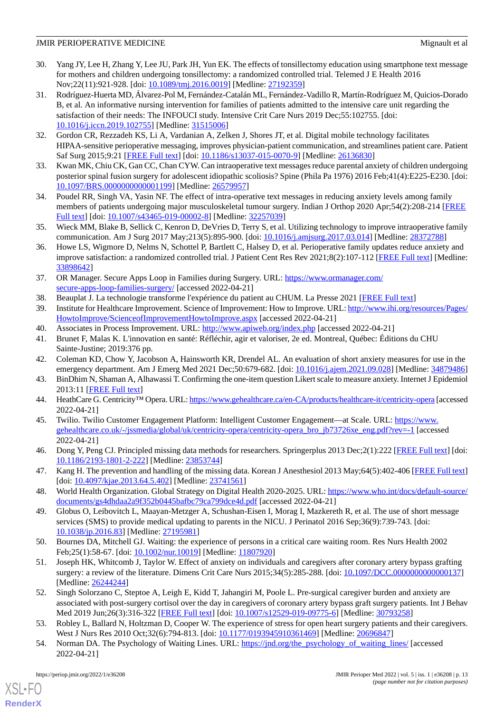- 30. Yang JY, Lee H, Zhang Y, Lee JU, Park JH, Yun EK. The effects of tonsillectomy education using smartphone text message for mothers and children undergoing tonsillectomy: a randomized controlled trial. Telemed J E Health 2016 Nov;22(11):921-928. [doi: [10.1089/tmj.2016.0019](http://dx.doi.org/10.1089/tmj.2016.0019)] [Medline: [27192359\]](http://www.ncbi.nlm.nih.gov/entrez/query.fcgi?cmd=Retrieve&db=PubMed&list_uids=27192359&dopt=Abstract)
- <span id="page-12-0"></span>31. Rodríguez-Huerta MD, Álvarez-Pol M, Fernández-Catalán ML, Fernández-Vadillo R, Martín-Rodríguez M, Quicios-Dorado B, et al. An informative nursing intervention for families of patients admitted to the intensive care unit regarding the satisfaction of their needs: The INFOUCI study. Intensive Crit Care Nurs 2019 Dec;55:102755. [doi: [10.1016/j.iccn.2019.102755\]](http://dx.doi.org/10.1016/j.iccn.2019.102755) [Medline: [31515006](http://www.ncbi.nlm.nih.gov/entrez/query.fcgi?cmd=Retrieve&db=PubMed&list_uids=31515006&dopt=Abstract)]
- <span id="page-12-4"></span><span id="page-12-1"></span>32. Gordon CR, Rezzadeh KS, Li A, Vardanian A, Zelken J, Shores JT, et al. Digital mobile technology facilitates HIPAA-sensitive perioperative messaging, improves physician-patient communication, and streamlines patient care. Patient Saf Surg 2015;9:21 [[FREE Full text](https://pssjournal.biomedcentral.com/articles/10.1186/s13037-015-0070-9)] [doi: [10.1186/s13037-015-0070-9\]](http://dx.doi.org/10.1186/s13037-015-0070-9) [Medline: [26136830\]](http://www.ncbi.nlm.nih.gov/entrez/query.fcgi?cmd=Retrieve&db=PubMed&list_uids=26136830&dopt=Abstract)
- <span id="page-12-5"></span>33. Kwan MK, Chiu CK, Gan CC, Chan CYW. Can intraoperative text messages reduce parental anxiety of children undergoing posterior spinal fusion surgery for adolescent idiopathic scoliosis? Spine (Phila Pa 1976) 2016 Feb;41(4):E225-E230. [doi: [10.1097/BRS.0000000000001199](http://dx.doi.org/10.1097/BRS.0000000000001199)] [Medline: [26579957\]](http://www.ncbi.nlm.nih.gov/entrez/query.fcgi?cmd=Retrieve&db=PubMed&list_uids=26579957&dopt=Abstract)
- <span id="page-12-3"></span>34. Poudel RR, Singh VA, Yasin NF. The effect of intra-operative text messages in reducing anxiety levels among family members of patients undergoing major musculoskeletal tumour surgery. Indian J Orthop 2020 Apr;54(2):208-214 [[FREE](http://europepmc.org/abstract/MED/32257039) [Full text\]](http://europepmc.org/abstract/MED/32257039) [doi: [10.1007/s43465-019-00002-8](http://dx.doi.org/10.1007/s43465-019-00002-8)] [Medline: [32257039](http://www.ncbi.nlm.nih.gov/entrez/query.fcgi?cmd=Retrieve&db=PubMed&list_uids=32257039&dopt=Abstract)]
- <span id="page-12-2"></span>35. Wieck MM, Blake B, Sellick C, Kenron D, DeVries D, Terry S, et al. Utilizing technology to improve intraoperative family communication. Am J Surg 2017 May;213(5):895-900. [doi: [10.1016/j.amjsurg.2017.03.014\]](http://dx.doi.org/10.1016/j.amjsurg.2017.03.014) [Medline: [28372788](http://www.ncbi.nlm.nih.gov/entrez/query.fcgi?cmd=Retrieve&db=PubMed&list_uids=28372788&dopt=Abstract)]
- <span id="page-12-6"></span>36. Howe LS, Wigmore D, Nelms N, Schottel P, Bartlett C, Halsey D, et al. Perioperative family updates reduce anxiety and improve satisfaction: a randomized controlled trial. J Patient Cent Res Rev 2021;8(2):107-112 [\[FREE Full text\]](http://europepmc.org/abstract/MED/33898642) [Medline: [33898642](http://www.ncbi.nlm.nih.gov/entrez/query.fcgi?cmd=Retrieve&db=PubMed&list_uids=33898642&dopt=Abstract)]
- <span id="page-12-8"></span><span id="page-12-7"></span>37. OR Manager. Secure Apps Loop in Families during Surgery. URL: [https://www.ormanager.com/](https://www.ormanager.com/secure-apps-loop-families-surgery/) [secure-apps-loop-families-surgery/](https://www.ormanager.com/secure-apps-loop-families-surgery/) [accessed 2022-04-21]
- <span id="page-12-9"></span>38. Beauplat J. La technologie transforme l'expérience du patient au CHUM. La Presse 2021 [[FREE Full text](https://www.lapresse.ca/actualites/grand-montreal/2021-09-05/la-technologie-transforme-l-experience-du-patient-au-chum.php)]
- <span id="page-12-10"></span>39. Institute for Healthcare Improvement. Science of Improvement: How to Improve. URL: [http://www.ihi.org/resources/Pages/](http://www.ihi.org/resources/Pages/HowtoImprove/ScienceofImprovementHowtoImprove.aspx) [HowtoImprove/ScienceofImprovementHowtoImprove.aspx](http://www.ihi.org/resources/Pages/HowtoImprove/ScienceofImprovementHowtoImprove.aspx) [accessed 2022-04-21]
- <span id="page-12-11"></span>40. Associates in Process Improvement. URL: <http://www.apiweb.org/index.php> [accessed 2022-04-21]
- <span id="page-12-12"></span>41. Brunet F, Malas K. L'innovation en santé: Réfléchir, agir et valoriser, 2e ed. Montreal, Québec: Éditions du CHU Sainte-Justine; 2019:376 pp.
- <span id="page-12-13"></span>42. Coleman KD, Chow Y, Jacobson A, Hainsworth KR, Drendel AL. An evaluation of short anxiety measures for use in the emergency department. Am J Emerg Med 2021 Dec;50:679-682. [doi: [10.1016/j.ajem.2021.09.028\]](http://dx.doi.org/10.1016/j.ajem.2021.09.028) [Medline: [34879486](http://www.ncbi.nlm.nih.gov/entrez/query.fcgi?cmd=Retrieve&db=PubMed&list_uids=34879486&dopt=Abstract)]
- <span id="page-12-14"></span>43. BinDhim N, Shaman A, Alhawassi T. Confirming the one-item question Likert scale to measure anxiety. Internet J Epidemiol 2013:11 [\[FREE Full text\]](http://ispub.com/IJE/11/2/14525)
- <span id="page-12-15"></span>44. HeathCare G. Centricity™ Opera. URL:<https://www.gehealthcare.ca/en-CA/products/healthcare-it/centricity-opera> [accessed 2022-04-21]
- <span id="page-12-16"></span>45. Twilio. Twilio Customer Engagement Platform: Intelligent Customer Engagement—at Scale. URL: [https://www.](https://www.gehealthcare.co.uk/-/jssmedia/global/uk/centricity-opera/centricity-opera_bro_jb73726xe_eng.pdf?rev=-1) [gehealthcare.co.uk/-/jssmedia/global/uk/centricity-opera/centricity-opera\\_bro\\_jb73726xe\\_eng.pdf?rev=-1](https://www.gehealthcare.co.uk/-/jssmedia/global/uk/centricity-opera/centricity-opera_bro_jb73726xe_eng.pdf?rev=-1) [accessed 2022-04-21]
- <span id="page-12-17"></span>46. Dong Y, Peng CJ. Principled missing data methods for researchers. Springerplus 2013 Dec;2(1):222 [\[FREE Full text](http://europepmc.org/abstract/MED/23853744)] [doi: [10.1186/2193-1801-2-222\]](http://dx.doi.org/10.1186/2193-1801-2-222) [Medline: [23853744\]](http://www.ncbi.nlm.nih.gov/entrez/query.fcgi?cmd=Retrieve&db=PubMed&list_uids=23853744&dopt=Abstract)
- <span id="page-12-18"></span>47. Kang H. The prevention and handling of the missing data. Korean J Anesthesiol 2013 May;64(5):402-406 [[FREE Full text](https://ekja.org/journal/view.php?doi=10.4097/kjae.2013.64.5.402)] [doi: [10.4097/kjae.2013.64.5.402\]](http://dx.doi.org/10.4097/kjae.2013.64.5.402) [Medline: [23741561\]](http://www.ncbi.nlm.nih.gov/entrez/query.fcgi?cmd=Retrieve&db=PubMed&list_uids=23741561&dopt=Abstract)
- <span id="page-12-19"></span>48. World Health Organization. Global Strategy on Digital Health 2020-2025. URL: [https://www.who.int/docs/default-source/](https://www.who.int/docs/default-source/documents/gs4dhdaa2a9f352b0445bafbc79ca799dce4d.pdf) [documents/gs4dhdaa2a9f352b0445bafbc79ca799dce4d.pdf](https://www.who.int/docs/default-source/documents/gs4dhdaa2a9f352b0445bafbc79ca799dce4d.pdf) [accessed 2022-04-21]
- <span id="page-12-20"></span>49. Globus O, Leibovitch L, Maayan-Metzger A, Schushan-Eisen I, Morag I, Mazkereth R, et al. The use of short message services (SMS) to provide medical updating to parents in the NICU. J Perinatol 2016 Sep;36(9):739-743. [doi: [10.1038/jp.2016.83\]](http://dx.doi.org/10.1038/jp.2016.83) [Medline: [27195981](http://www.ncbi.nlm.nih.gov/entrez/query.fcgi?cmd=Retrieve&db=PubMed&list_uids=27195981&dopt=Abstract)]
- 50. Bournes DA, Mitchell GJ. Waiting: the experience of persons in a critical care waiting room. Res Nurs Health 2002 Feb; 25(1): 58-67. [doi:  $10.1002$ /nur. 10019] [Medline: [11807920\]](http://www.ncbi.nlm.nih.gov/entrez/query.fcgi?cmd=Retrieve&db=PubMed&list_uids=11807920&dopt=Abstract)
- <span id="page-12-21"></span>51. Joseph HK, Whitcomb J, Taylor W. Effect of anxiety on individuals and caregivers after coronary artery bypass grafting surgery: a review of the literature. Dimens Crit Care Nurs 2015;34(5):285-288. [doi: [10.1097/DCC.0000000000000137\]](http://dx.doi.org/10.1097/DCC.0000000000000137) [Medline: [26244244](http://www.ncbi.nlm.nih.gov/entrez/query.fcgi?cmd=Retrieve&db=PubMed&list_uids=26244244&dopt=Abstract)]
- <span id="page-12-22"></span>52. Singh Solorzano C, Steptoe A, Leigh E, Kidd T, Jahangiri M, Poole L. Pre-surgical caregiver burden and anxiety are associated with post-surgery cortisol over the day in caregivers of coronary artery bypass graft surgery patients. Int J Behav Med 2019 Jun;26(3):316-322 [\[FREE Full text](http://europepmc.org/abstract/MED/30793258)] [doi: [10.1007/s12529-019-09775-6\]](http://dx.doi.org/10.1007/s12529-019-09775-6) [Medline: [30793258\]](http://www.ncbi.nlm.nih.gov/entrez/query.fcgi?cmd=Retrieve&db=PubMed&list_uids=30793258&dopt=Abstract)
- 53. Robley L, Ballard N, Holtzman D, Cooper W. The experience of stress for open heart surgery patients and their caregivers. West J Nurs Res 2010 Oct;32(6):794-813. [doi: [10.1177/0193945910361469\]](http://dx.doi.org/10.1177/0193945910361469) [Medline: [20696847\]](http://www.ncbi.nlm.nih.gov/entrez/query.fcgi?cmd=Retrieve&db=PubMed&list_uids=20696847&dopt=Abstract)
- 54. Norman DA. The Psychology of Waiting Lines. URL: [https://jnd.org/the\\_psychology\\_of\\_waiting\\_lines/](https://jnd.org/the_psychology_of_waiting_lines/) [accessed] 2022-04-21]